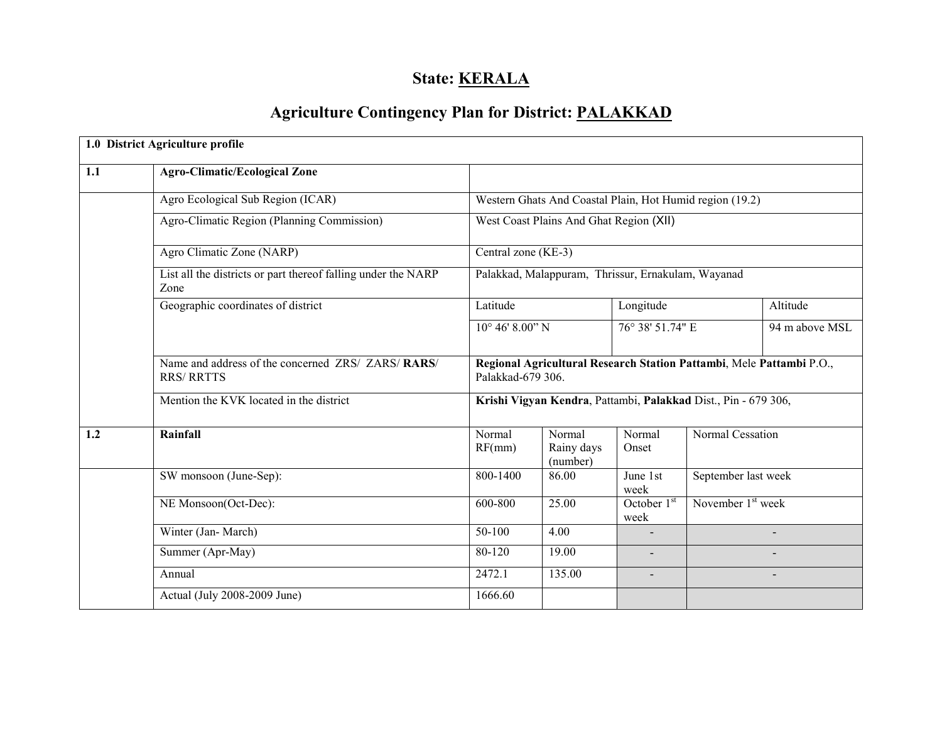# State: **KERALA**

# Agriculture Contingency Plan for District: PALAKKAD

|     | 1.0 District Agriculture profile                                        |                                                    |                                  |                                                                      |                                                                |                |  |
|-----|-------------------------------------------------------------------------|----------------------------------------------------|----------------------------------|----------------------------------------------------------------------|----------------------------------------------------------------|----------------|--|
| 1.1 | <b>Agro-Climatic/Ecological Zone</b>                                    |                                                    |                                  |                                                                      |                                                                |                |  |
|     | Agro Ecological Sub Region (ICAR)                                       |                                                    |                                  |                                                                      | Western Ghats And Coastal Plain, Hot Humid region (19.2)       |                |  |
|     | Agro-Climatic Region (Planning Commission)                              | West Coast Plains And Ghat Region (XII)            |                                  |                                                                      |                                                                |                |  |
|     | Agro Climatic Zone (NARP)                                               | Central zone (KE-3)                                |                                  |                                                                      |                                                                |                |  |
|     | List all the districts or part thereof falling under the NARP<br>Zone   | Palakkad, Malappuram, Thrissur, Ernakulam, Wayanad |                                  |                                                                      |                                                                |                |  |
|     | Geographic coordinates of district<br>Latitude                          |                                                    |                                  | Longitude                                                            |                                                                | Altitude       |  |
|     |                                                                         |                                                    | $10^{\circ}$ 46' 8.00" N         |                                                                      | 76° 38' 51.74" E                                               | 94 m above MSL |  |
|     | Name and address of the concerned ZRS/ ZARS/ RARS/<br><b>RRS/ RRTTS</b> | Palakkad-679 306.                                  |                                  | Regional Agricultural Research Station Pattambi, Mele Pattambi P.O., |                                                                |                |  |
|     | Mention the KVK located in the district                                 |                                                    |                                  |                                                                      | Krishi Vigyan Kendra, Pattambi, Palakkad Dist., Pin - 679 306, |                |  |
| 1.2 | Rainfall                                                                | Normal<br>RF(mm)                                   | Normal<br>Rainy days<br>(number) | Normal<br>Onset                                                      | Normal Cessation                                               |                |  |
|     | SW monsoon (June-Sep):                                                  | 800-1400                                           | 86.00                            | June 1st<br>week                                                     | September last week                                            |                |  |
|     | NE Monsoon(Oct-Dec):                                                    | 600-800                                            | 25.00                            | October $1st$<br>week                                                | November $1st$ week                                            |                |  |
|     | Winter (Jan-March)                                                      | 50-100<br>4.00                                     |                                  |                                                                      |                                                                | $\blacksquare$ |  |
|     | Summer (Apr-May)                                                        | 80-120<br>19.00                                    |                                  |                                                                      |                                                                |                |  |
|     | Annual                                                                  | 2472.1                                             | 135.00                           | $\blacksquare$                                                       |                                                                |                |  |
|     | Actual (July 2008-2009 June)                                            | 1666.60                                            |                                  |                                                                      |                                                                |                |  |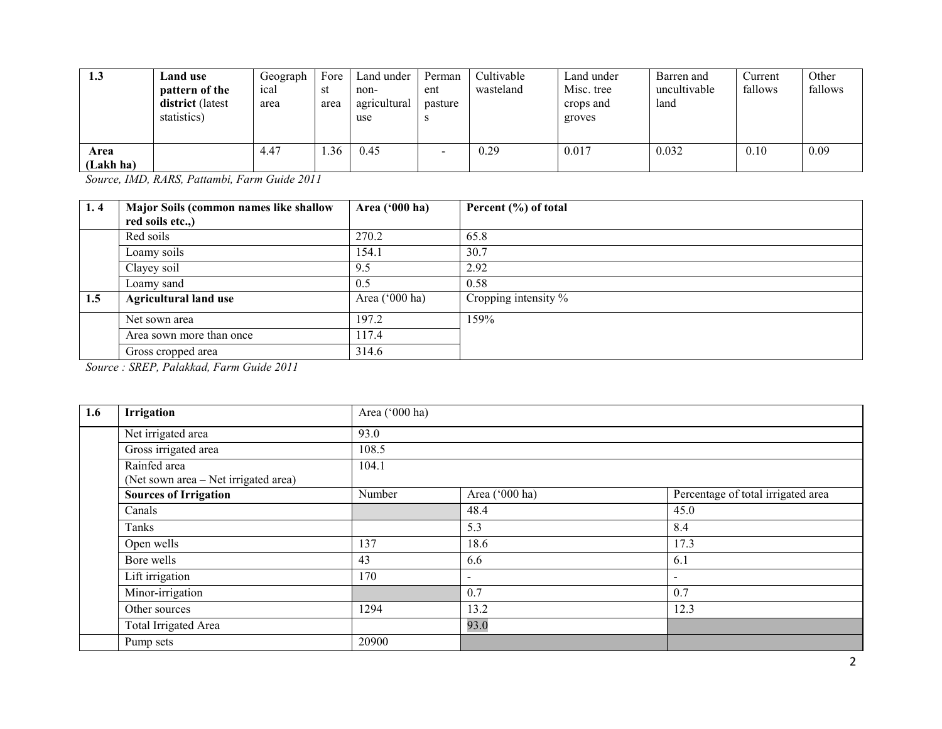| 1.3               | Land use<br>pattern of the<br>district (latest<br>statistics) | Geograph<br>ical<br>area | Fore<br>st<br>area | Land under<br>non-<br>agricultural<br>use | Perman<br>ent<br>pasture | Cultivable<br>wasteland | Land under<br>Misc. tree<br>crops and<br>groves | Barren and<br>uncultivable<br>land | Current<br>fallows | Other<br>fallows |
|-------------------|---------------------------------------------------------------|--------------------------|--------------------|-------------------------------------------|--------------------------|-------------------------|-------------------------------------------------|------------------------------------|--------------------|------------------|
| Area<br>(Lakh ha) |                                                               | 4.47                     | .36                | 0.45                                      |                          | 0.29                    | 0.017                                           | 0.032                              | 0.10               | 0.09             |

Source, IMD, RARS, Pattambi, Farm Guide 2011

| 1.4 | Major Soils (common names like shallow | Area $('000 ha)$ | Percent (%) of total |
|-----|----------------------------------------|------------------|----------------------|
|     | red soils etc.,)                       |                  |                      |
|     | Red soils                              | 270.2            | 65.8                 |
|     | Loamy soils                            | 154.1            | 30.7                 |
|     | Clayey soil                            | 9.5              | 2.92                 |
|     | Loamy sand                             | 0.5              | 0.58                 |
| 1.5 | <b>Agricultural land use</b>           | Area $('000 ha)$ | Cropping intensity % |
|     | Net sown area                          | 197.2            | 159%                 |
|     | Area sown more than once               | 117.4            |                      |
|     | Gross cropped area                     | 314.6            |                      |

Source : SREP, Palakkad, Farm Guide 2011

| 1.6 | Irrigation                                           | Area ('000 ha) |                |                                    |  |  |  |  |  |
|-----|------------------------------------------------------|----------------|----------------|------------------------------------|--|--|--|--|--|
|     | Net irrigated area                                   | 93.0           |                |                                    |  |  |  |  |  |
|     | Gross irrigated area                                 | 108.5          |                |                                    |  |  |  |  |  |
|     | Rainfed area<br>(Net sown area – Net irrigated area) | 104.1          |                |                                    |  |  |  |  |  |
|     | <b>Sources of Irrigation</b>                         | Number         | Area ('000 ha) | Percentage of total irrigated area |  |  |  |  |  |
|     | Canals                                               |                | 48.4           | 45.0                               |  |  |  |  |  |
|     | Tanks                                                |                | 5.3            | 8.4                                |  |  |  |  |  |
|     | Open wells                                           | 137            | 18.6           | 17.3                               |  |  |  |  |  |
|     | Bore wells                                           | 43             | 6.6            | 6.1                                |  |  |  |  |  |
|     | Lift irrigation                                      | 170            | $\blacksquare$ | $\blacksquare$                     |  |  |  |  |  |
|     | Minor-irrigation                                     |                | 0.7            | 0.7                                |  |  |  |  |  |
|     | Other sources                                        | 1294           | 13.2           | 12.3                               |  |  |  |  |  |
|     | Total Irrigated Area                                 |                | 93.0           |                                    |  |  |  |  |  |
|     | Pump sets                                            | 20900          |                |                                    |  |  |  |  |  |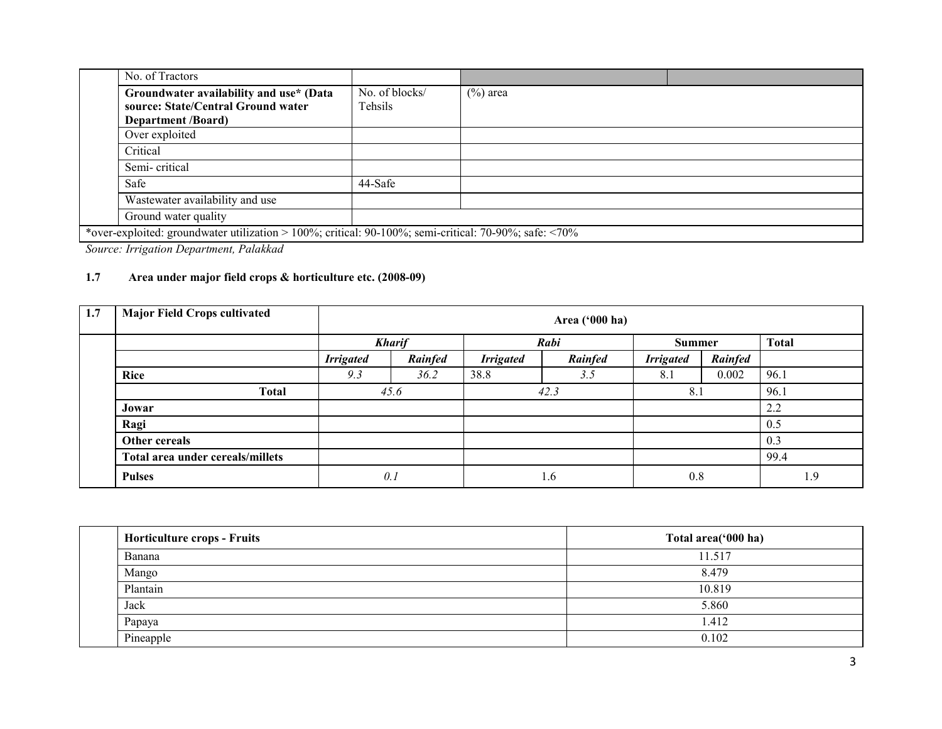| No. of Tractors                                                                                                   |                           |             |  |
|-------------------------------------------------------------------------------------------------------------------|---------------------------|-------------|--|
| Groundwater availability and use* (Data<br>source: State/Central Ground water<br><b>Department</b> <i>(Board)</i> | No. of blocks/<br>Tehsils | $(\%)$ area |  |
| Over exploited                                                                                                    |                           |             |  |
| Critical                                                                                                          |                           |             |  |
| Semi-critical                                                                                                     |                           |             |  |
| Safe                                                                                                              | 44-Safe                   |             |  |
| Wastewater availability and use                                                                                   |                           |             |  |
| Ground water quality                                                                                              |                           |             |  |
| *over-exploited: groundwater utilization > 100%; critical: $90-100\%$ ; semi-critical: $70-90\%$ ; safe: <70%     |                           |             |  |

Source: Irrigation Department, Palakkad

## 1.7 Area under major field crops & horticulture etc. (2008-09)

| 1.7 | <b>Major Field Crops cultivated</b> | Area ('000 ha)   |               |                  |         |                  |               |              |  |  |
|-----|-------------------------------------|------------------|---------------|------------------|---------|------------------|---------------|--------------|--|--|
|     |                                     |                  | <b>Kharif</b> |                  | Rabi    |                  | <b>Summer</b> | <b>Total</b> |  |  |
|     |                                     | <b>Irrigated</b> | Rainfed       | <b>Irrigated</b> | Rainfed | <b>Irrigated</b> | Rainfed       |              |  |  |
|     | <b>Rice</b>                         | 9.3              | 36.2          | 38.8             | 3.5     | 8.1              | 0.002         | 96.1         |  |  |
|     | <b>Total</b>                        |                  | 45.6          |                  | 42.3    |                  | 8.1           | 96.1         |  |  |
|     | Jowar                               |                  |               |                  |         |                  |               | 2.2          |  |  |
|     | Ragi                                |                  |               |                  |         |                  |               | 0.5          |  |  |
|     | Other cereals                       |                  |               |                  |         |                  |               | 0.3          |  |  |
|     | Total area under cereals/millets    |                  |               |                  |         |                  |               | 99.4         |  |  |
|     | <b>Pulses</b>                       | 0.1              |               | 1.6              |         | 0.8              |               | 1.9          |  |  |

| <b>Horticulture crops - Fruits</b> | Total area('000 ha) |
|------------------------------------|---------------------|
| <b>Banana</b>                      | 11.517              |
| Mango                              | 8.479               |
| Plantain                           | 10.819              |
| Jack                               | 5.860               |
| Papaya                             | 1.412               |
| Pineapple                          | 0.102               |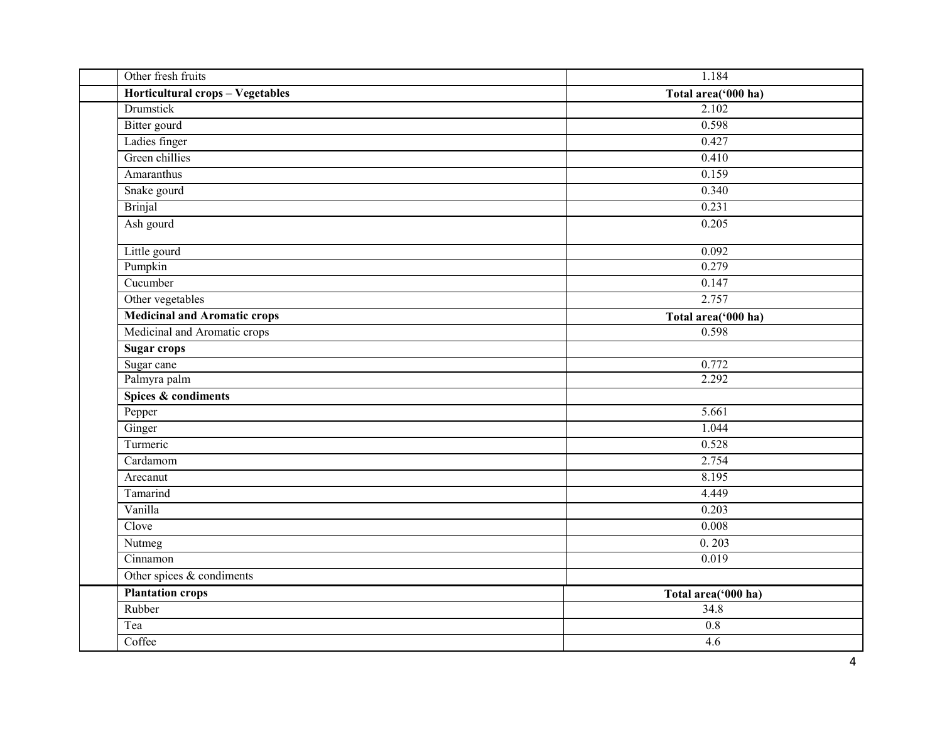| Other fresh fruits                  | 1.184               |
|-------------------------------------|---------------------|
| Horticultural crops - Vegetables    | Total area('000 ha) |
| <b>Drumstick</b>                    | 2.102               |
| <b>Bitter</b> gourd                 | 0.598               |
| Ladies finger                       | 0.427               |
| Green chillies                      | 0.410               |
| Amaranthus                          | 0.159               |
| Snake gourd                         | 0.340               |
| <b>Brinjal</b>                      | 0.231               |
| Ash gourd                           | 0.205               |
| Little gourd                        | 0.092               |
| Pumpkin                             | 0.279               |
| Cucumber                            | 0.147               |
| Other vegetables                    | 2.757               |
| <b>Medicinal and Aromatic crops</b> | Total area('000 ha) |
| Medicinal and Aromatic crops        | 0.598               |
| <b>Sugar crops</b>                  |                     |
| Sugar cane                          | 0.772               |
| Palmyra palm                        | 2.292               |
| Spices & condiments                 |                     |
| Pepper                              | 5.661               |
| Ginger                              | 1.044               |
| Turmeric                            | 0.528               |
| Cardamom                            | 2.754               |
| Arecanut                            | 8.195               |
| Tamarind                            | 4.449               |
| Vanilla                             | 0.203               |
| Clove                               | 0.008               |
| Nutmeg                              | 0.203               |
| Cinnamon                            | 0.019               |
| Other spices $&$ condiments         |                     |
| <b>Plantation crops</b>             | Total area('000 ha) |
| Rubber                              | 34.8                |
| Tea                                 | 0.8                 |
| Coffee                              | 4.6                 |
|                                     |                     |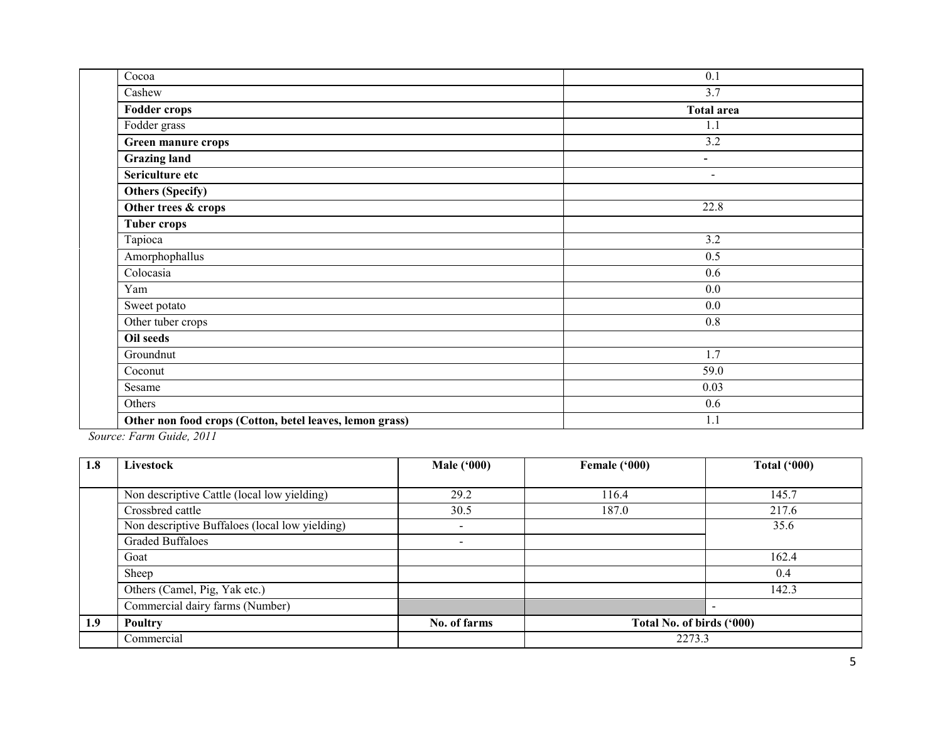| Cocoa                                                    | 0.1                      |
|----------------------------------------------------------|--------------------------|
| Cashew                                                   | 3.7                      |
| <b>Fodder crops</b>                                      | <b>Total area</b>        |
| Fodder grass                                             | 1.1                      |
| Green manure crops                                       | 3.2                      |
| <b>Grazing land</b>                                      | $\overline{\phantom{0}}$ |
| Sericulture etc                                          | $\blacksquare$           |
| <b>Others (Specify)</b>                                  |                          |
| Other trees & crops                                      | 22.8                     |
| <b>Tuber crops</b>                                       |                          |
| Tapioca                                                  | 3.2                      |
| Amorphophallus                                           | 0.5                      |
| Colocasia                                                | 0.6                      |
| Yam                                                      | $0.0\,$                  |
| Sweet potato                                             | 0.0                      |
| Other tuber crops                                        | 0.8                      |
| Oil seeds                                                |                          |
| Groundnut                                                | 1.7                      |
| Coconut                                                  | 59.0                     |
| Sesame                                                   | 0.03                     |
| Others                                                   | 0.6                      |
| Other non food crops (Cotton, betel leaves, lemon grass) | 1.1                      |
|                                                          |                          |

Source: Farm Guide, 2011

| 1.8 | Livestock                                      | <b>Male ('000)</b>       | Female ('000)             | <b>Total ('000)</b> |  |  |
|-----|------------------------------------------------|--------------------------|---------------------------|---------------------|--|--|
|     |                                                |                          |                           |                     |  |  |
|     | Non descriptive Cattle (local low yielding)    | 29.2                     | 116.4                     | 145.7               |  |  |
|     | Crossbred cattle                               | 30.5                     | 187.0                     | 217.6               |  |  |
|     | Non descriptive Buffaloes (local low yielding) | $\overline{\phantom{a}}$ |                           | 35.6                |  |  |
|     | <b>Graded Buffaloes</b>                        | $\overline{\phantom{a}}$ |                           |                     |  |  |
|     | Goat                                           |                          |                           | 162.4               |  |  |
|     | Sheep                                          |                          |                           | 0.4                 |  |  |
|     | Others (Camel, Pig, Yak etc.)                  |                          |                           | 142.3               |  |  |
|     | Commercial dairy farms (Number)                |                          |                           |                     |  |  |
| 1.9 | Poultry                                        | No. of farms             | Total No. of birds ('000) |                     |  |  |
|     | Commercial                                     |                          | 2273.3                    |                     |  |  |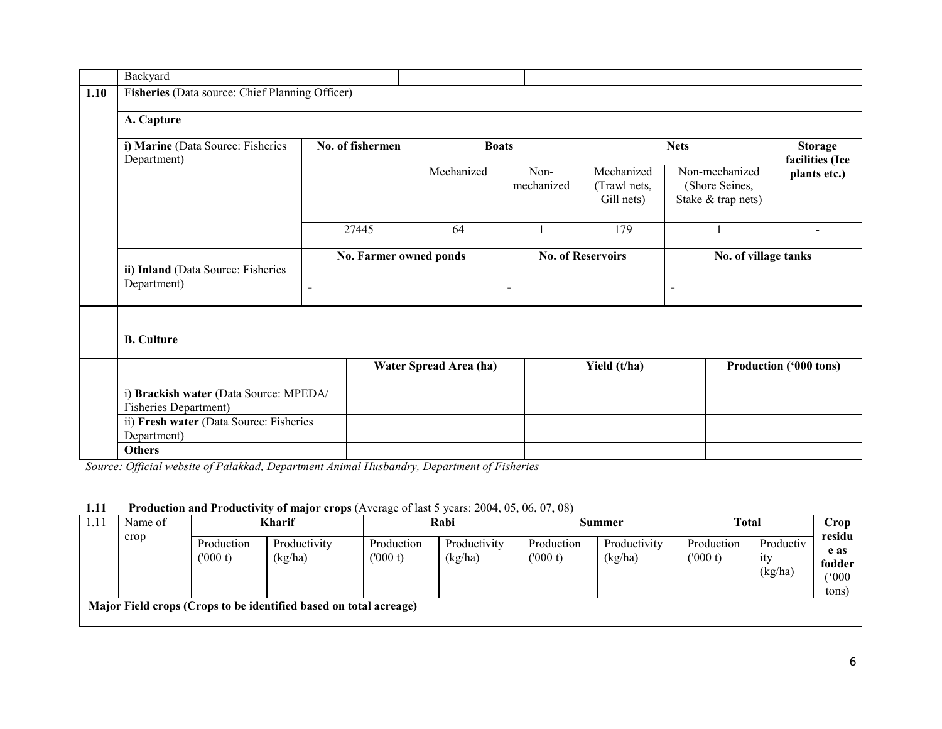|      | Backyard                                                        |                |                                  |                        |                          |                                          |                      |                                                        |                                   |  |  |  |
|------|-----------------------------------------------------------------|----------------|----------------------------------|------------------------|--------------------------|------------------------------------------|----------------------|--------------------------------------------------------|-----------------------------------|--|--|--|
| 1.10 | Fisheries (Data source: Chief Planning Officer)                 |                |                                  |                        |                          |                                          |                      |                                                        |                                   |  |  |  |
|      | A. Capture                                                      |                |                                  |                        |                          |                                          |                      |                                                        |                                   |  |  |  |
|      | i) Marine (Data Source: Fisheries<br>Department)                |                | No. of fishermen<br><b>Boats</b> |                        |                          | <b>Nets</b>                              |                      |                                                        | <b>Storage</b><br>facilities (Ice |  |  |  |
|      |                                                                 |                |                                  | Mechanized             | Non-<br>mechanized       | Mechanized<br>(Trawl nets,<br>Gill nets) |                      | Non-mechanized<br>(Shore Seines,<br>Stake & trap nets) | plants etc.)                      |  |  |  |
|      |                                                                 | 27445          |                                  | 64                     |                          | 179                                      |                      |                                                        |                                   |  |  |  |
|      | ii) Inland (Data Source: Fisheries                              |                | No. Farmer owned ponds           |                        | <b>No. of Reservoirs</b> |                                          | No. of village tanks |                                                        |                                   |  |  |  |
|      | Department)                                                     | $\blacksquare$ |                                  |                        | $\overline{\phantom{0}}$ |                                          | $\blacksquare$       |                                                        |                                   |  |  |  |
|      | <b>B.</b> Culture                                               |                |                                  |                        |                          |                                          |                      |                                                        |                                   |  |  |  |
|      |                                                                 |                |                                  | Water Spread Area (ha) |                          | Yield (t/ha)                             |                      |                                                        | Production ('000 tons)            |  |  |  |
|      | i) Brackish water (Data Source: MPEDA/<br>Fisheries Department) |                |                                  |                        |                          |                                          |                      |                                                        |                                   |  |  |  |
|      | ii) Fresh water (Data Source: Fisheries<br>Department)          |                |                                  |                        |                          |                                          |                      |                                                        |                                   |  |  |  |
|      | <b>Others</b>                                                   |                |                                  |                        |                          |                                          |                      |                                                        |                                   |  |  |  |

Source: Official website of Palakkad, Department Animal Husbandry, Department of Fisheries

#### 1.11 Production and Productivity of major crops (Average of last 5 years: 2004, 05, 06, 07, 08)

| Name of                                                           | <b>Kharif</b>         |                         | Rabi                  |                         | Summer                |                         | <b>Total</b>          |                             | Crop                                       |  |
|-------------------------------------------------------------------|-----------------------|-------------------------|-----------------------|-------------------------|-----------------------|-------------------------|-----------------------|-----------------------------|--------------------------------------------|--|
| crop                                                              | Production<br>(000 t) | Productivity<br>(kg/ha) | Production<br>(000 t) | Productivity<br>(kg/ha) | Production<br>(000 t) | Productivity<br>(kg/ha) | Production<br>(000 t) | Productiv<br>1ty<br>(kg/ha) | residu<br>e as<br>fodder<br>('000<br>tons) |  |
| Major Field crops (Crops to be identified based on total acreage) |                       |                         |                       |                         |                       |                         |                       |                             |                                            |  |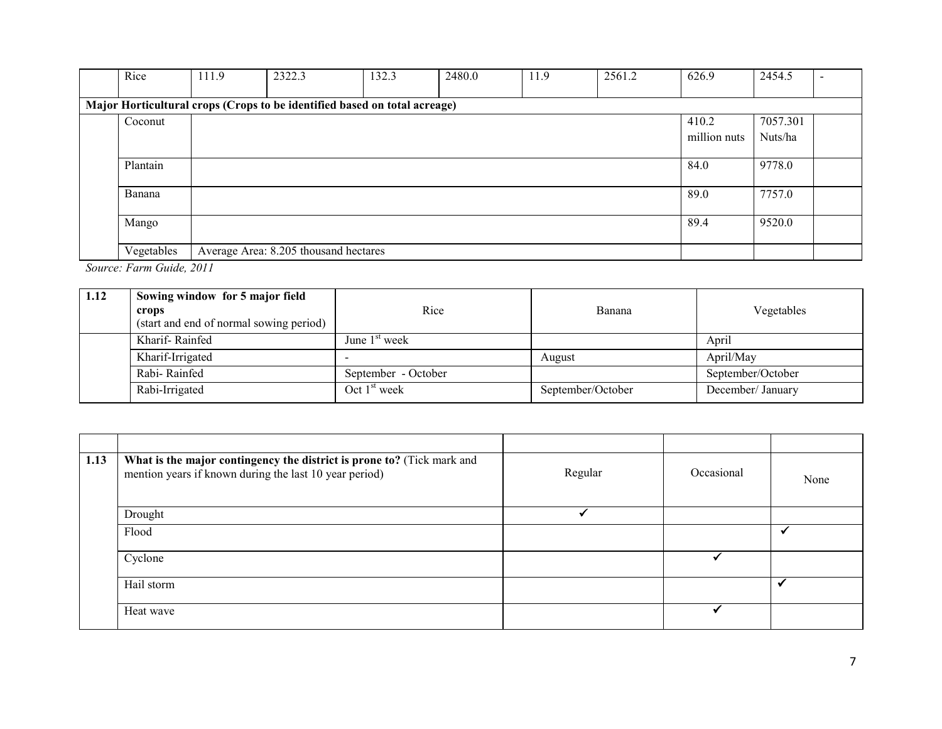| Rice       | 111.9 | 2322.3                                                                    | 132.3 | 2480.0 | 11.9 | 2561.2 | 626.9        | 2454.5   |  |
|------------|-------|---------------------------------------------------------------------------|-------|--------|------|--------|--------------|----------|--|
|            |       |                                                                           |       |        |      |        |              |          |  |
|            |       | Major Horticultural crops (Crops to be identified based on total acreage) |       |        |      |        |              |          |  |
| Coconut    |       |                                                                           |       |        |      |        | 410.2        | 7057.301 |  |
|            |       |                                                                           |       |        |      |        | million nuts | Nuts/ha  |  |
|            |       |                                                                           |       |        |      |        |              |          |  |
| Plantain   |       |                                                                           |       |        |      |        | 84.0         | 9778.0   |  |
| Banana     |       |                                                                           |       |        |      |        | 89.0         | 7757.0   |  |
|            |       |                                                                           |       |        |      |        |              |          |  |
| Mango      |       |                                                                           |       |        |      |        | 89.4         | 9520.0   |  |
| Vegetables |       | Average Area: 8.205 thousand hectares                                     |       |        |      |        |              |          |  |

Source: Farm Guide, 2011

| 1.12 | Sowing window for 5 major field<br>crops<br>(start and end of normal sowing period) | Rice                | Banana            | Vegetables        |
|------|-------------------------------------------------------------------------------------|---------------------|-------------------|-------------------|
|      | Kharif-Rainfed                                                                      | June $1st$ week     |                   | April             |
|      | Kharif-Irrigated                                                                    |                     | August            | April/May         |
|      | Rabi-Rainfed                                                                        | September - October |                   | September/October |
|      | Rabi-Irrigated                                                                      | Oct $1st$ week      | September/October | December/ January |

| 1.13 | What is the major contingency the district is prone to? (Tick mark and<br>mention years if known during the last 10 year period) | Regular | Occasional | None |
|------|----------------------------------------------------------------------------------------------------------------------------------|---------|------------|------|
|      | Drought                                                                                                                          |         |            |      |
|      | Flood                                                                                                                            |         |            |      |
|      | Cyclone                                                                                                                          |         |            |      |
|      | Hail storm                                                                                                                       |         |            |      |
|      | Heat wave                                                                                                                        |         |            |      |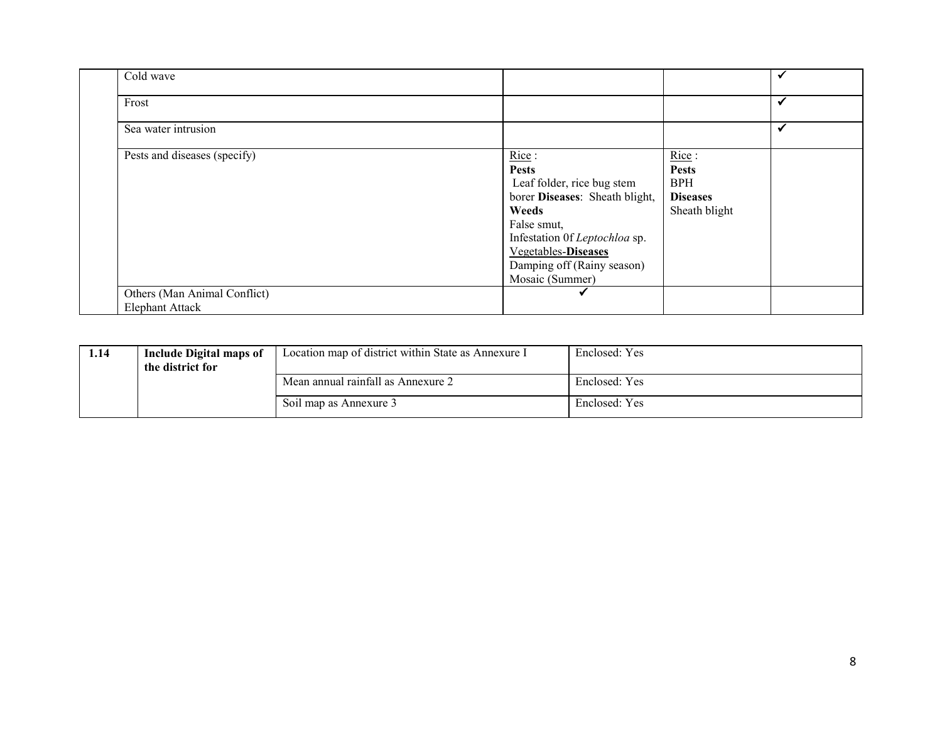| Cold wave                    |                                                                                                                                                                                                                               |                                                                         |              |
|------------------------------|-------------------------------------------------------------------------------------------------------------------------------------------------------------------------------------------------------------------------------|-------------------------------------------------------------------------|--------------|
| Frost                        |                                                                                                                                                                                                                               |                                                                         | $\checkmark$ |
| Sea water intrusion          |                                                                                                                                                                                                                               |                                                                         | ✓            |
| Pests and diseases (specify) | Rice:<br><b>Pests</b><br>Leaf folder, rice bug stem<br>borer Diseases: Sheath blight,<br>Weeds<br>False smut,<br>Infestation Of Leptochloa sp.<br><b>Vegetables-Diseases</b><br>Damping off (Rainy season)<br>Mosaic (Summer) | Rice:<br><b>Pests</b><br><b>BPH</b><br><b>Diseases</b><br>Sheath blight |              |
| Others (Man Animal Conflict) | M                                                                                                                                                                                                                             |                                                                         |              |
| <b>Elephant Attack</b>       |                                                                                                                                                                                                                               |                                                                         |              |

| 1.14 | Include Digital maps of<br>the district for | Location map of district within State as Annexure I | Enclosed: Yes |
|------|---------------------------------------------|-----------------------------------------------------|---------------|
|      |                                             | Mean annual rainfall as Annexure 2                  | Enclosed: Yes |
|      |                                             | Soil map as Annexure 3                              | Enclosed: Yes |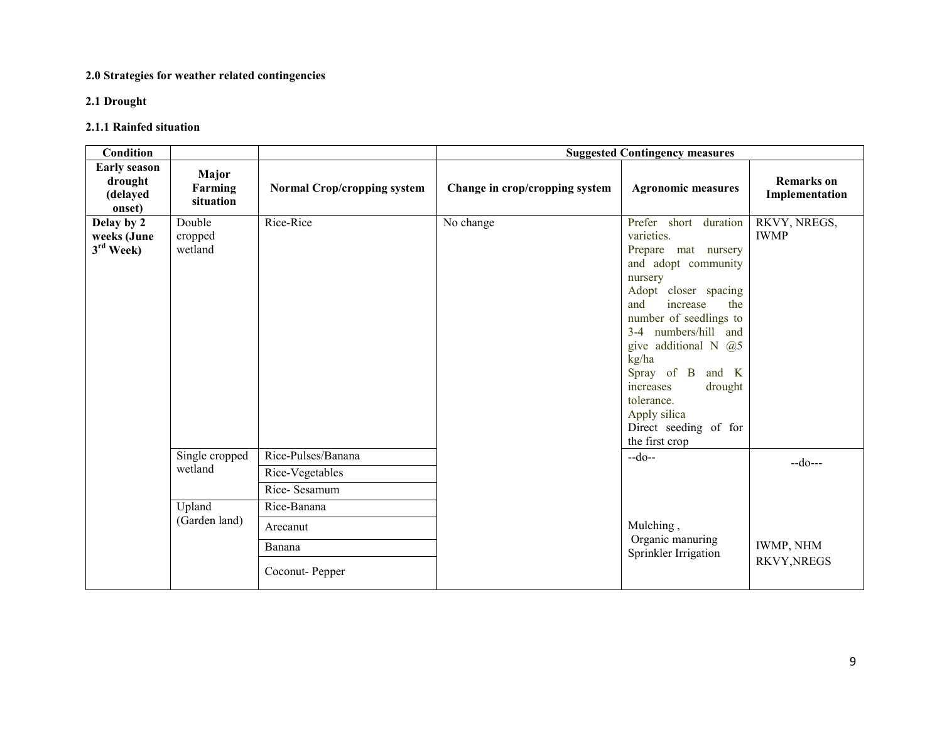#### 2.0 Strategies for weather related contingencies

#### 2.1 Drought

## 2.1.1 Rainfed situation

| Condition                                            |                               |                                                       | <b>Suggested Contingency measures</b> |                                                                                                                                                                                                                                                                                                                                                             |                                        |
|------------------------------------------------------|-------------------------------|-------------------------------------------------------|---------------------------------------|-------------------------------------------------------------------------------------------------------------------------------------------------------------------------------------------------------------------------------------------------------------------------------------------------------------------------------------------------------------|----------------------------------------|
| <b>Early season</b><br>drought<br>(delayed<br>onset) | Major<br>Farming<br>situation | <b>Normal Crop/cropping system</b>                    | Change in crop/cropping system        | <b>Agronomic measures</b>                                                                                                                                                                                                                                                                                                                                   | <b>Remarks</b> on<br>Implementation    |
| Delay by 2<br>weeks (June<br>$3rd$ Week)             | Double<br>cropped<br>wetland  | Rice-Rice                                             | No change                             | Prefer short duration<br>varieties.<br>Prepare mat nursery<br>and adopt community<br>nursery<br>Adopt closer spacing<br>and<br>increase<br>the<br>number of seedlings to<br>3-4 numbers/hill and<br>give additional N $(2)$ 5<br>kg/ha<br>Spray of B and K<br>increases<br>drought<br>tolerance.<br>Apply silica<br>Direct seeding of for<br>the first crop | RKVY, NREGS,<br><b>IWMP</b>            |
|                                                      | Single cropped<br>wetland     | Rice-Pulses/Banana<br>Rice-Vegetables<br>Rice-Sesamum |                                       | $-do-$                                                                                                                                                                                                                                                                                                                                                      | $-do--$                                |
|                                                      | Upland<br>(Garden land)       | Rice-Banana<br>Arecanut<br>Banana<br>Coconut-Pepper   |                                       | Mulching,<br>Organic manuring<br>Sprinkler Irrigation                                                                                                                                                                                                                                                                                                       | <b>IWMP, NHM</b><br><b>RKVY, NREGS</b> |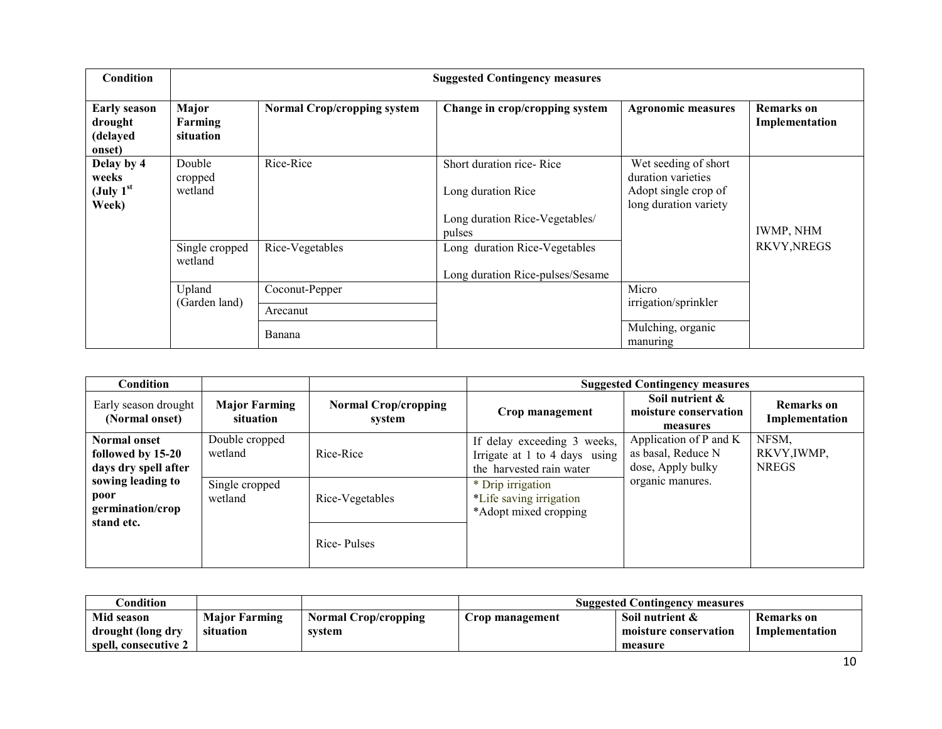| <b>Condition</b>                                        | <b>Suggested Contingency measures</b>     |                                    |                                                                                            |                                                                                             |                                     |  |  |  |
|---------------------------------------------------------|-------------------------------------------|------------------------------------|--------------------------------------------------------------------------------------------|---------------------------------------------------------------------------------------------|-------------------------------------|--|--|--|
| <b>Early season</b><br>drought<br>(delayed<br>onset)    | Major<br>Farming<br>situation             | <b>Normal Crop/cropping system</b> | Change in crop/cropping system                                                             | <b>Agronomic measures</b>                                                                   | <b>Remarks</b> on<br>Implementation |  |  |  |
| Delay by 4<br>weeks<br>(July 1 <sup>st</sup> )<br>Week) | Double<br>Rice-Rice<br>cropped<br>wetland |                                    | Short duration rice-Rice<br>Long duration Rice<br>Long duration Rice-Vegetables/<br>pulses | Wet seeding of short<br>duration varieties<br>Adopt single crop of<br>long duration variety | IWMP, NHM                           |  |  |  |
|                                                         | Single cropped<br>wetland                 | Rice-Vegetables                    | Long duration Rice-Vegetables<br>Long duration Rice-pulses/Sesame                          |                                                                                             | <b>RKVY, NREGS</b>                  |  |  |  |
|                                                         | Upland                                    | Coconut-Pepper                     |                                                                                            | Micro                                                                                       |                                     |  |  |  |
|                                                         | (Garden land)                             | Arecanut                           |                                                                                            | irrigation/sprinkler                                                                        |                                     |  |  |  |
|                                                         |                                           | Banana                             |                                                                                            | Mulching, organic<br>manuring                                                               |                                     |  |  |  |

| Condition                                                        |                                   |                                       | <b>Suggested Contingency measures</b>                                                    |                                                                                                |                                     |  |
|------------------------------------------------------------------|-----------------------------------|---------------------------------------|------------------------------------------------------------------------------------------|------------------------------------------------------------------------------------------------|-------------------------------------|--|
| Early season drought<br>(Normal onset)                           | <b>Major Farming</b><br>situation | <b>Normal Crop/cropping</b><br>system | Crop management                                                                          | Soil nutrient &<br>moisture conservation<br>measures                                           | <b>Remarks</b> on<br>Implementation |  |
| <b>Normal onset</b><br>followed by 15-20<br>days dry spell after | Double cropped<br>wetland         | Rice-Rice                             | If delay exceeding 3 weeks,<br>Irrigate at 1 to 4 days using<br>the harvested rain water | Application of P and K<br>NFSM,<br>as basal, Reduce N<br>dose, Apply bulky<br>organic manures. | RKVY, IWMP,<br><b>NREGS</b>         |  |
| sowing leading to<br>poor<br>germination/crop<br>stand etc.      | Single cropped<br>wetland         | Rice-Vegetables                       | * Drip irrigation<br>*Life saving irrigation<br>*Adopt mixed cropping                    |                                                                                                |                                     |  |
|                                                                  |                                   | Rice-Pulses                           |                                                                                          |                                                                                                |                                     |  |

| Condition:           |                      |                             | <b>Suggested Contingency measures</b> |                       |                   |  |
|----------------------|----------------------|-----------------------------|---------------------------------------|-----------------------|-------------------|--|
| Mid season           | <b>Major Farming</b> | <b>Normal Crop/cropping</b> | Crop management                       | Soil nutrient &       | <b>Remarks</b> on |  |
| drought (long dry    | situation            | svstem                      |                                       | moisture conservation | Implementation    |  |
| spell, consecutive 2 |                      |                             |                                       | measure               |                   |  |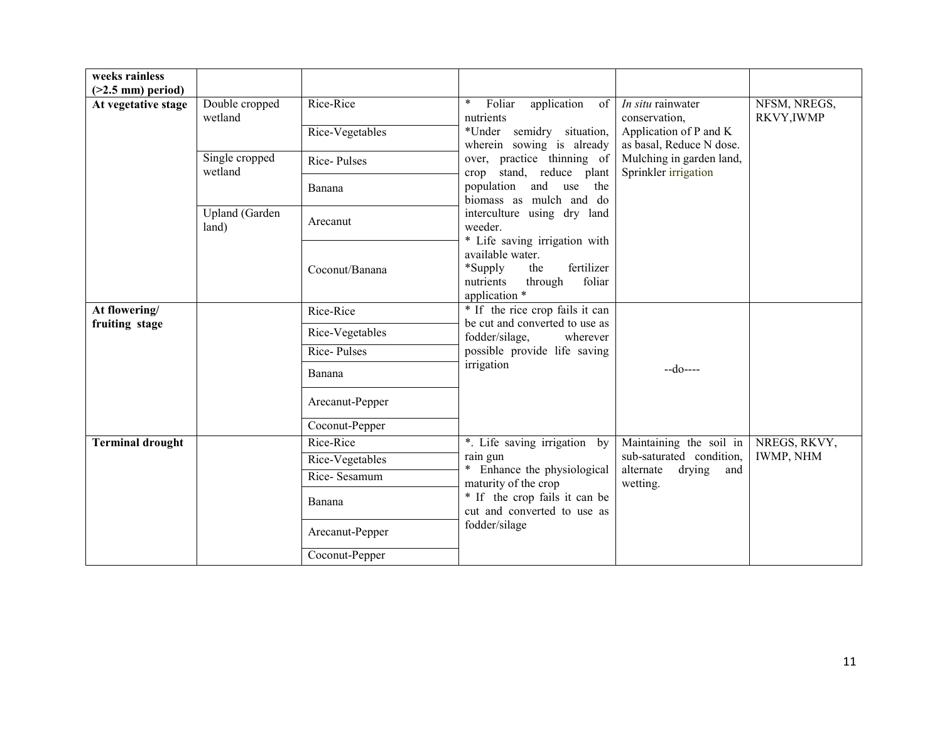| weeks rainless<br>$(>2.5$ mm) period) |                                |                 |                                                                                                                                      |                                                    |                            |
|---------------------------------------|--------------------------------|-----------------|--------------------------------------------------------------------------------------------------------------------------------------|----------------------------------------------------|----------------------------|
| At vegetative stage                   | Double cropped<br>wetland      | Rice-Rice       | $\ast$<br>Foliar<br>application<br>of<br>nutrients                                                                                   | In situ rainwater<br>conservation,                 | NFSM, NREGS,<br>RKVY, IWMP |
|                                       |                                | Rice-Vegetables | *Under semidry situation,<br>wherein sowing is already                                                                               | Application of P and K<br>as basal, Reduce N dose. |                            |
|                                       | Single cropped<br>wetland      | Rice-Pulses     | over, practice thinning of<br>stand, reduce plant<br>crop                                                                            | Mulching in garden land,<br>Sprinkler irrigation   |                            |
|                                       |                                | Banana          | population and use<br>the<br>biomass as mulch and do                                                                                 |                                                    |                            |
|                                       | <b>Upland</b> (Garden<br>land) | Arecanut        | interculture using dry land<br>weeder.                                                                                               |                                                    |                            |
|                                       |                                | Coconut/Banana  | * Life saving irrigation with<br>available water.<br>fertilizer<br>*Supply<br>the<br>foliar<br>nutrients<br>through<br>application * |                                                    |                            |
| At flowering/                         |                                | Rice-Rice       | * If the rice crop fails it can<br>be cut and converted to use as<br>fodder/silage,<br>wherever                                      |                                                    |                            |
| fruiting stage                        |                                | Rice-Vegetables |                                                                                                                                      |                                                    |                            |
|                                       |                                | Rice-Pulses     | possible provide life saving                                                                                                         |                                                    |                            |
|                                       |                                | Banana          | irrigation                                                                                                                           | $-do---$                                           |                            |
|                                       |                                | Arecanut-Pepper |                                                                                                                                      |                                                    |                            |
|                                       |                                | Coconut-Pepper  |                                                                                                                                      |                                                    |                            |
| <b>Terminal drought</b>               |                                | Rice-Rice       | *. Life saving irrigation by                                                                                                         | Maintaining the soil in                            | NREGS, RKVY,               |
|                                       |                                | Rice-Vegetables | rain gun                                                                                                                             | sub-saturated condition,                           | <b>IWMP, NHM</b>           |
|                                       |                                | Rice-Sesamum    | * Enhance the physiological<br>maturity of the crop                                                                                  | alternate<br>drying<br>and<br>wetting.             |                            |
|                                       |                                | Banana          | * If the crop fails it can be<br>cut and converted to use as                                                                         |                                                    |                            |
|                                       |                                | Arecanut-Pepper | fodder/silage                                                                                                                        |                                                    |                            |
|                                       |                                | Coconut-Pepper  |                                                                                                                                      |                                                    |                            |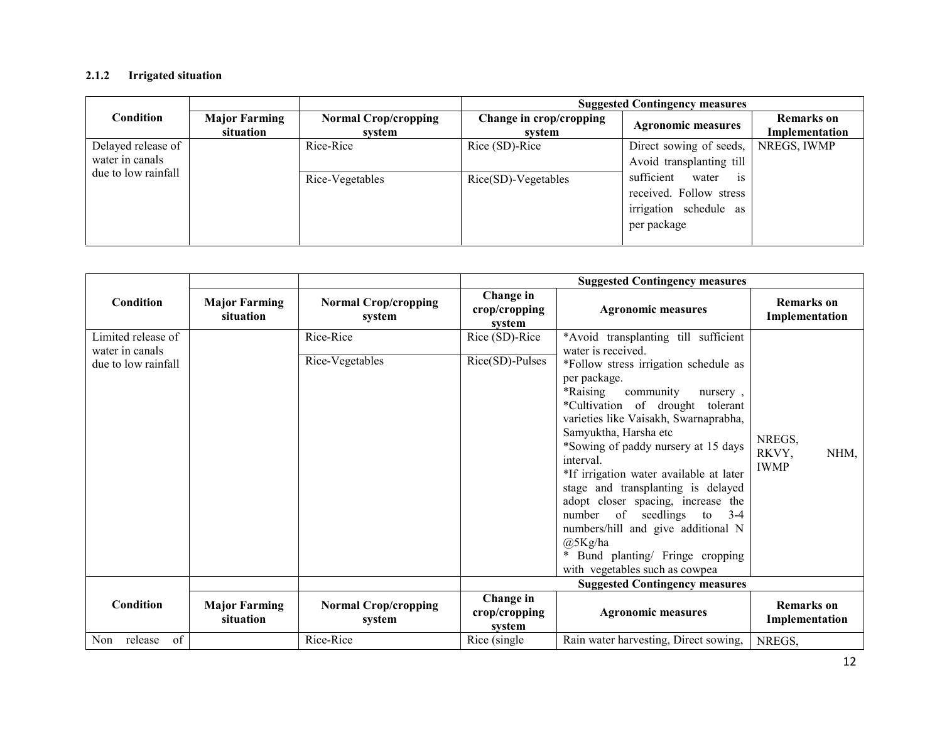#### 2.1.2 Irrigated situation

|                     |                                   |                                       | <b>Suggested Contingency measures</b> |                                  |                                     |  |
|---------------------|-----------------------------------|---------------------------------------|---------------------------------------|----------------------------------|-------------------------------------|--|
| Condition           | <b>Major Farming</b><br>situation | <b>Normal Crop/cropping</b><br>system | Change in crop/cropping<br>system     | <b>Agronomic measures</b>        | <b>Remarks</b> on<br>Implementation |  |
| Delayed release of  |                                   | Rice-Rice                             | Rice (SD)-Rice                        | Direct sowing of seeds,          | NREGS, IWMP                         |  |
| water in canals     |                                   |                                       |                                       | Avoid transplanting till         |                                     |  |
| due to low rainfall |                                   | Rice-Vegetables                       | Rice(SD)-Vegetables                   | sufficient<br>water<br><b>1S</b> |                                     |  |
|                     |                                   |                                       |                                       | received. Follow stress          |                                     |  |
|                     |                                   |                                       |                                       | irrigation schedule as           |                                     |  |
|                     |                                   |                                       |                                       | per package                      |                                     |  |
|                     |                                   |                                       |                                       |                                  |                                     |  |

|                                       |                                   |                                       | <b>Suggested Contingency measures</b>       |                                                                                                                                                                                                                                                                                                                                                                                                                                                                                                                                                                      |                                        |  |
|---------------------------------------|-----------------------------------|---------------------------------------|---------------------------------------------|----------------------------------------------------------------------------------------------------------------------------------------------------------------------------------------------------------------------------------------------------------------------------------------------------------------------------------------------------------------------------------------------------------------------------------------------------------------------------------------------------------------------------------------------------------------------|----------------------------------------|--|
| Condition                             | <b>Major Farming</b><br>situation | <b>Normal Crop/cropping</b><br>system | Change in<br>crop/cropping<br>system        | <b>Agronomic measures</b>                                                                                                                                                                                                                                                                                                                                                                                                                                                                                                                                            | <b>Remarks</b> on<br>Implementation    |  |
| Limited release of<br>water in canals |                                   | Rice-Rice                             | Rice (SD)-Rice                              | *Avoid transplanting till sufficient<br>water is received.                                                                                                                                                                                                                                                                                                                                                                                                                                                                                                           |                                        |  |
| due to low rainfall                   |                                   | Rice-Vegetables                       | $\overline{\text{Rice}}(\text{SD})$ -Pulses | *Follow stress irrigation schedule as<br>per package.<br>*Raising<br>community<br>nursery,<br>*Cultivation of drought tolerant<br>varieties like Vaisakh, Swarnaprabha,<br>Samyuktha, Harsha etc<br>*Sowing of paddy nursery at 15 days<br>interval.<br>*If irrigation water available at later<br>stage and transplanting is delayed<br>adopt closer spacing, increase the<br>of<br>number<br>seedlings<br>$3-4$<br>to<br>numbers/hill and give additional N<br>@5Kg/ha<br>Bund planting/ Fringe cropping<br>$\ddot{\phantom{1}}$<br>with vegetables such as cowpea | NREGS,<br>RKVY,<br>NHM,<br><b>IWMP</b> |  |
|                                       |                                   |                                       |                                             | <b>Suggested Contingency measures</b>                                                                                                                                                                                                                                                                                                                                                                                                                                                                                                                                |                                        |  |
| Condition                             | <b>Major Farming</b><br>situation | <b>Normal Crop/cropping</b><br>system | Change in<br>crop/cropping<br>system        | <b>Agronomic measures</b>                                                                                                                                                                                                                                                                                                                                                                                                                                                                                                                                            | <b>Remarks</b> on<br>Implementation    |  |
| release<br>Non<br>of                  |                                   | Rice-Rice                             | Rice (single)                               | Rain water harvesting, Direct sowing,                                                                                                                                                                                                                                                                                                                                                                                                                                                                                                                                | NREGS,                                 |  |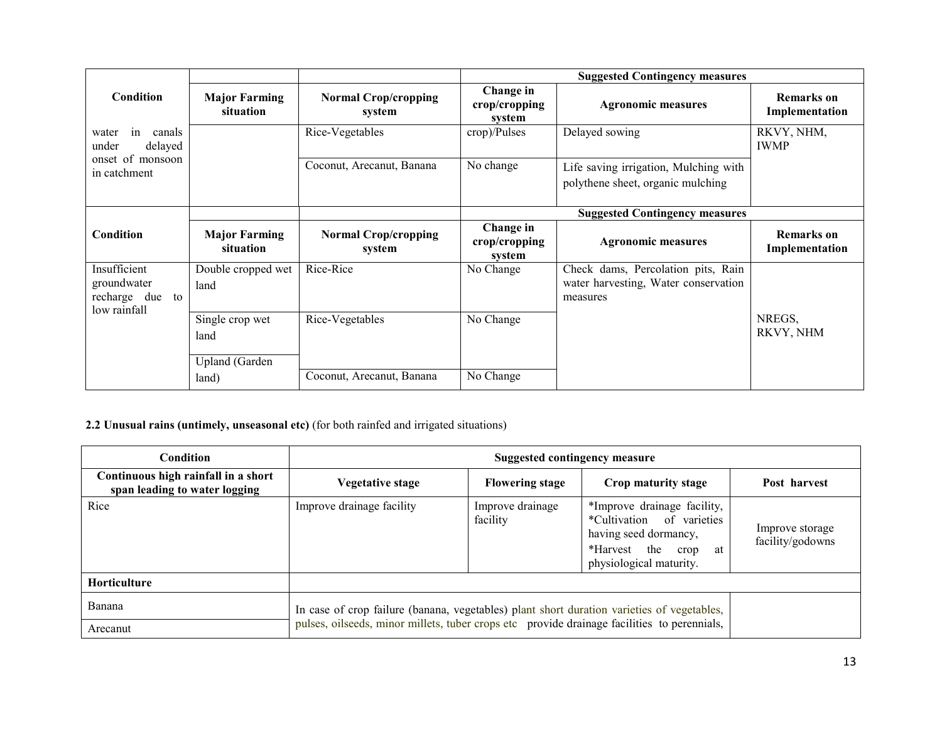|                                                                |                                                  |                                       |                                      | <b>Suggested Contingency measures</b>                                                  |                                     |
|----------------------------------------------------------------|--------------------------------------------------|---------------------------------------|--------------------------------------|----------------------------------------------------------------------------------------|-------------------------------------|
| Condition                                                      | <b>Major Farming</b><br>situation                | <b>Normal Crop/cropping</b><br>system | Change in<br>crop/cropping<br>system | <b>Agronomic measures</b>                                                              | <b>Remarks</b> on<br>Implementation |
| in<br>canals<br>water<br>delayed<br>under                      |                                                  | Rice-Vegetables                       | $\text{crop}$ )/Pulses               | Delayed sowing                                                                         | RKVY, NHM,<br><b>IWMP</b>           |
| onset of monsoon<br>in catchment                               |                                                  | Coconut, Arecanut, Banana             | No change                            | Life saving irrigation, Mulching with<br>polythene sheet, organic mulching             |                                     |
|                                                                |                                                  |                                       |                                      | <b>Suggested Contingency measures</b>                                                  |                                     |
| Condition                                                      | <b>Major Farming</b><br>situation                | <b>Normal Crop/cropping</b><br>system | Change in<br>crop/cropping<br>system | <b>Agronomic measures</b>                                                              | <b>Remarks</b> on<br>Implementation |
| Insufficient<br>groundwater<br>recharge due to<br>low rainfall | Double cropped wet<br>land                       | Rice-Rice                             | No Change                            | Check dams, Percolation pits, Rain<br>water harvesting, Water conservation<br>measures |                                     |
|                                                                | Single crop wet<br>land<br><b>Upland</b> (Garden | Rice-Vegetables                       | No Change                            |                                                                                        | NREGS.<br>RKVY, NHM                 |
|                                                                | land)                                            | Coconut, Arecanut, Banana             | No Change                            |                                                                                        |                                     |

#### 2.2 Unusual rains (untimely, unseasonal etc) (for both rainfed and irrigated situations)

| Condition                                                            | <b>Suggested contingency measure</b>                                                        |                              |                                                                                                                                            |                                     |  |  |
|----------------------------------------------------------------------|---------------------------------------------------------------------------------------------|------------------------------|--------------------------------------------------------------------------------------------------------------------------------------------|-------------------------------------|--|--|
| Continuous high rainfall in a short<br>span leading to water logging | Vegetative stage                                                                            | Post harvest                 |                                                                                                                                            |                                     |  |  |
| Rice                                                                 | Improve drainage facility                                                                   | Improve drainage<br>facility | *Improve drainage facility,<br>*Cultivation of varieties<br>having seed dormancy,<br>*Harvest the<br>at<br>crop<br>physiological maturity. | Improve storage<br>facility/godowns |  |  |
| Horticulture                                                         |                                                                                             |                              |                                                                                                                                            |                                     |  |  |
| Banana                                                               | In case of crop failure (banana, vegetables) plant short duration varieties of vegetables,  |                              |                                                                                                                                            |                                     |  |  |
| Arecanut                                                             | pulses, oilseeds, minor millets, tuber crops etc provide drainage facilities to perennials, |                              |                                                                                                                                            |                                     |  |  |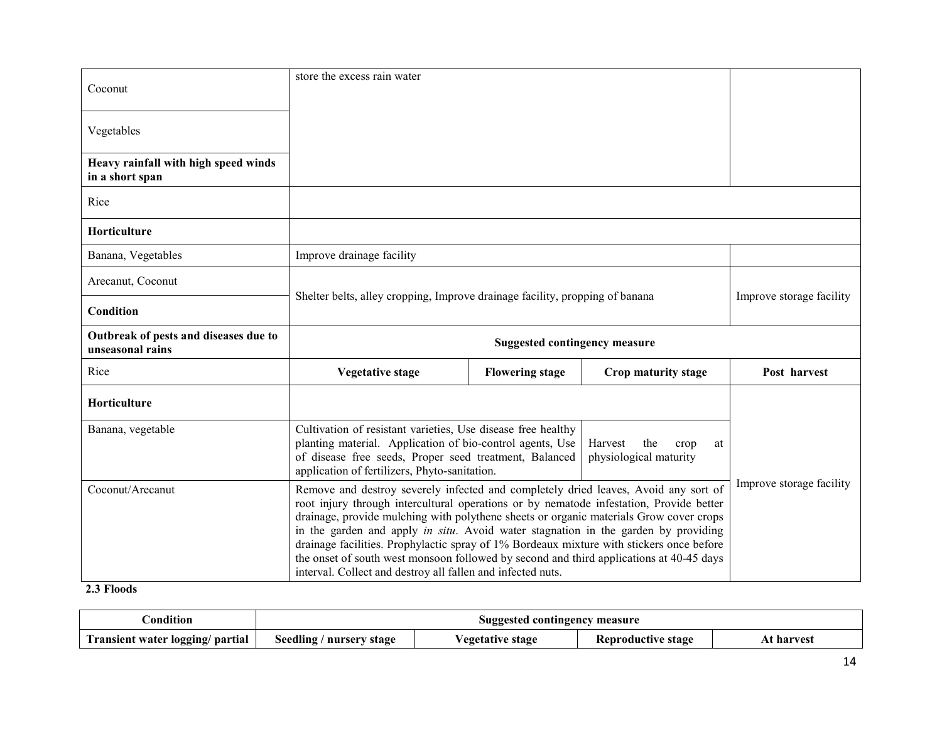| Coconut                                                   | store the excess rain water                                                                                                                                                                                                          |                          |                                                        |                          |  |
|-----------------------------------------------------------|--------------------------------------------------------------------------------------------------------------------------------------------------------------------------------------------------------------------------------------|--------------------------|--------------------------------------------------------|--------------------------|--|
| Vegetables                                                |                                                                                                                                                                                                                                      |                          |                                                        |                          |  |
| Heavy rainfall with high speed winds<br>in a short span   |                                                                                                                                                                                                                                      |                          |                                                        |                          |  |
| Rice                                                      |                                                                                                                                                                                                                                      |                          |                                                        |                          |  |
| Horticulture                                              |                                                                                                                                                                                                                                      |                          |                                                        |                          |  |
| Banana, Vegetables                                        | Improve drainage facility                                                                                                                                                                                                            |                          |                                                        |                          |  |
| Arecanut, Coconut                                         |                                                                                                                                                                                                                                      | Improve storage facility |                                                        |                          |  |
| Condition                                                 | Shelter belts, alley cropping, Improve drainage facility, propping of banana                                                                                                                                                         |                          |                                                        |                          |  |
|                                                           | <b>Suggested contingency measure</b>                                                                                                                                                                                                 |                          |                                                        |                          |  |
| Outbreak of pests and diseases due to<br>unseasonal rains |                                                                                                                                                                                                                                      |                          |                                                        |                          |  |
| Rice                                                      | <b>Vegetative stage</b>                                                                                                                                                                                                              | <b>Flowering stage</b>   | Crop maturity stage                                    | Post harvest             |  |
| Horticulture                                              |                                                                                                                                                                                                                                      |                          |                                                        |                          |  |
| Banana, vegetable                                         | Cultivation of resistant varieties, Use disease free healthy<br>planting material. Application of bio-control agents, Use<br>of disease free seeds, Proper seed treatment, Balanced<br>application of fertilizers, Phyto-sanitation. |                          | Harvest<br>the<br>crop<br>at<br>physiological maturity | Improve storage facility |  |

#### 2.3 Floods

| condition                        | Suggested contingency measure |                                                     |  |  |  |
|----------------------------------|-------------------------------|-----------------------------------------------------|--|--|--|
| Transient water logging/ partial | Seedling /<br>' nursery stage | egetative stage<br>At harvest<br>Reproductive stage |  |  |  |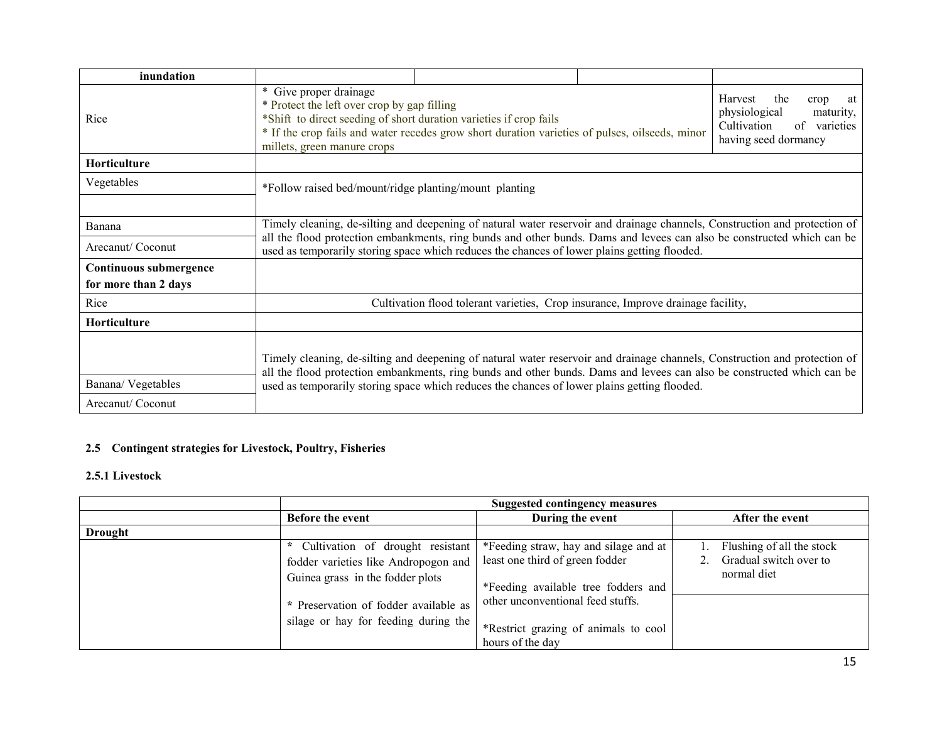| inundation                                     |                                                                                                                                                                                                                                                                                                                                                      |  |  |                                                                           |  |
|------------------------------------------------|------------------------------------------------------------------------------------------------------------------------------------------------------------------------------------------------------------------------------------------------------------------------------------------------------------------------------------------------------|--|--|---------------------------------------------------------------------------|--|
| Rice                                           | * Give proper drainage<br>Harvest<br>* Protect the left over crop by gap filling<br>physiological<br>*Shift to direct seeding of short duration varieties if crop fails<br>Cultivation<br>* If the crop fails and water recedes grow short duration varieties of pulses, oilseeds, minor<br>millets, green manure crops                              |  |  | the<br>crop<br>at<br>maturity,<br>of<br>varieties<br>having seed dormancy |  |
| Horticulture                                   |                                                                                                                                                                                                                                                                                                                                                      |  |  |                                                                           |  |
| Vegetables                                     | *Follow raised bed/mount/ridge planting/mount planting                                                                                                                                                                                                                                                                                               |  |  |                                                                           |  |
| Banana                                         | Timely cleaning, de-silting and deepening of natural water reservoir and drainage channels, Construction and protection of                                                                                                                                                                                                                           |  |  |                                                                           |  |
| Arecanut/Coconut                               | all the flood protection embankments, ring bunds and other bunds. Dams and levees can also be constructed which can be<br>used as temporarily storing space which reduces the chances of lower plains getting flooded.                                                                                                                               |  |  |                                                                           |  |
| Continuous submergence<br>for more than 2 days |                                                                                                                                                                                                                                                                                                                                                      |  |  |                                                                           |  |
| Rice                                           | Cultivation flood tolerant varieties, Crop insurance, Improve drainage facility,                                                                                                                                                                                                                                                                     |  |  |                                                                           |  |
| Horticulture                                   |                                                                                                                                                                                                                                                                                                                                                      |  |  |                                                                           |  |
| Banana/Vegetables<br>Arecanut/Coconut          | Timely cleaning, de-silting and deepening of natural water reservoir and drainage channels, Construction and protection of<br>all the flood protection embankments, ring bunds and other bunds. Dams and levees can also be constructed which can be<br>used as temporarily storing space which reduces the chances of lower plains getting flooded. |  |  |                                                                           |  |

# 2.5 Contingent strategies for Livestock, Poultry, Fisheries

#### 2.5.1 Livestock

|                | <b>Suggested contingency measures</b>                                                                                                                                                           |                                                                                                                                                                                                                  |                                                                    |  |
|----------------|-------------------------------------------------------------------------------------------------------------------------------------------------------------------------------------------------|------------------------------------------------------------------------------------------------------------------------------------------------------------------------------------------------------------------|--------------------------------------------------------------------|--|
|                | Before the event                                                                                                                                                                                | During the event                                                                                                                                                                                                 | After the event                                                    |  |
| <b>Drought</b> |                                                                                                                                                                                                 |                                                                                                                                                                                                                  |                                                                    |  |
|                | * Cultivation of drought resistant<br>fodder varieties like Andropogon and<br>Guinea grass in the fodder plots<br>* Preservation of fodder available as<br>silage or hay for feeding during the | *Feeding straw, hay and silage and at<br>least one third of green fodder<br>*Feeding available tree fodders and<br>other unconventional feed stuffs.<br>*Restrict grazing of animals to cool<br>hours of the day | Flushing of all the stock<br>Gradual switch over to<br>normal diet |  |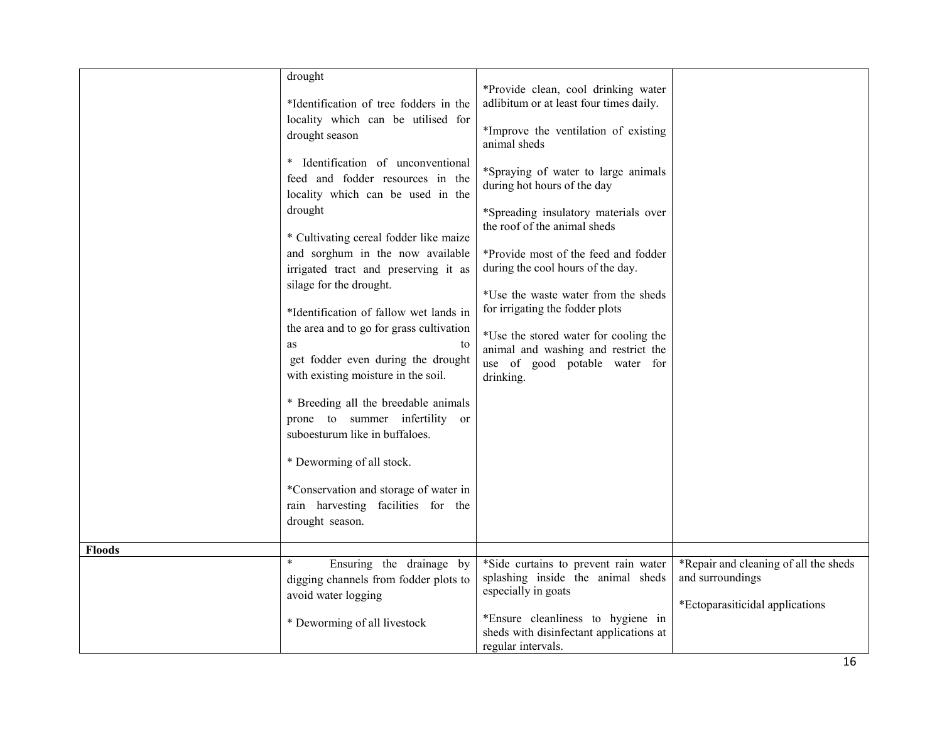| drought<br>*Identification of tree fodders in the<br>locality which can be utilised for<br>drought season<br>* Identification of unconventional<br>feed and fodder resources in the<br>locality which can be used in the<br>drought<br>* Cultivating cereal fodder like maize<br>and sorghum in the now available<br>irrigated tract and preserving it as<br>silage for the drought.<br>*Identification of fallow wet lands in<br>the area and to go for grass cultivation<br>as<br>to<br>get fodder even during the drought<br>with existing moisture in the soil.<br>* Breeding all the breedable animals<br>prone to summer infertility or<br>suboesturum like in buffaloes.<br>* Deworming of all stock.<br>*Conservation and storage of water in<br>rain harvesting facilities for the<br>drought season. | *Provide clean, cool drinking water<br>adlibitum or at least four times daily.<br>*Improve the ventilation of existing<br>animal sheds<br>*Spraying of water to large animals<br>during hot hours of the day<br>*Spreading insulatory materials over<br>the roof of the animal sheds<br>*Provide most of the feed and fodder<br>during the cool hours of the day.<br>*Use the waste water from the sheds<br>for irrigating the fodder plots<br>*Use the stored water for cooling the<br>animal and washing and restrict the<br>use of good potable water for<br>drinking. |                                                                                              |
|----------------------------------------------------------------------------------------------------------------------------------------------------------------------------------------------------------------------------------------------------------------------------------------------------------------------------------------------------------------------------------------------------------------------------------------------------------------------------------------------------------------------------------------------------------------------------------------------------------------------------------------------------------------------------------------------------------------------------------------------------------------------------------------------------------------|---------------------------------------------------------------------------------------------------------------------------------------------------------------------------------------------------------------------------------------------------------------------------------------------------------------------------------------------------------------------------------------------------------------------------------------------------------------------------------------------------------------------------------------------------------------------------|----------------------------------------------------------------------------------------------|
|                                                                                                                                                                                                                                                                                                                                                                                                                                                                                                                                                                                                                                                                                                                                                                                                                |                                                                                                                                                                                                                                                                                                                                                                                                                                                                                                                                                                           |                                                                                              |
| $\ast$<br>digging channels from fodder plots to<br>avoid water logging<br>* Deworming of all livestock                                                                                                                                                                                                                                                                                                                                                                                                                                                                                                                                                                                                                                                                                                         | splashing inside the animal sheds<br>especially in goats<br>*Ensure cleanliness to hygiene in<br>sheds with disinfectant applications at                                                                                                                                                                                                                                                                                                                                                                                                                                  | *Repair and cleaning of all the sheds<br>and surroundings<br>*Ectoparasiticidal applications |
|                                                                                                                                                                                                                                                                                                                                                                                                                                                                                                                                                                                                                                                                                                                                                                                                                | Ensuring the drainage by                                                                                                                                                                                                                                                                                                                                                                                                                                                                                                                                                  | *Side curtains to prevent rain water<br>regular intervals.                                   |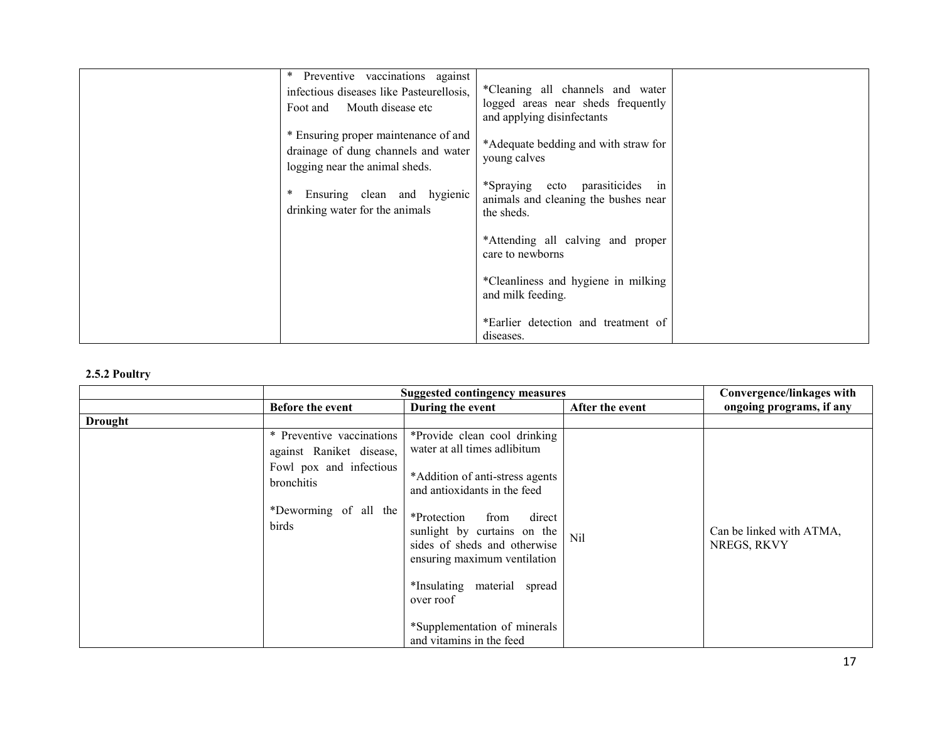| Preventive vaccinations against<br>infectious diseases like Pasteurellosis,<br>Mouth disease etc<br>Foot and  | *Cleaning all channels and water<br>logged areas near sheds frequently<br>and applying disinfectants |  |
|---------------------------------------------------------------------------------------------------------------|------------------------------------------------------------------------------------------------------|--|
| * Ensuring proper maintenance of and<br>drainage of dung channels and water<br>logging near the animal sheds. | *Adequate bedding and with straw for<br>young calves                                                 |  |
| Ensuring clean and hygienic<br>drinking water for the animals                                                 | *Spraying ecto parasiticides in<br>animals and cleaning the bushes near<br>the sheds.                |  |
|                                                                                                               | *Attending all calving and proper<br>care to newborns                                                |  |
|                                                                                                               | *Cleanliness and hygiene in milking<br>and milk feeding.                                             |  |
|                                                                                                               | *Earlier detection and treatment of<br>diseases.                                                     |  |

#### 2.5.2 Poultry

|         | <b>Suggested contingency measures</b>                                                          |                                                                                                                                 | Convergence/linkages with |                                         |
|---------|------------------------------------------------------------------------------------------------|---------------------------------------------------------------------------------------------------------------------------------|---------------------------|-----------------------------------------|
|         | <b>Before the event</b>                                                                        | During the event                                                                                                                | After the event           | ongoing programs, if any                |
| Drought |                                                                                                |                                                                                                                                 |                           |                                         |
|         | * Preventive vaccinations<br>against Raniket disease,<br>Fowl pox and infectious<br>bronchitis | *Provide clean cool drinking<br>water at all times adlibitum<br>*Addition of anti-stress agents<br>and antioxidants in the feed |                           |                                         |
|         | *Deworming of all the<br>birds                                                                 | *Protection<br>from<br>direct<br>sunlight by curtains on the<br>sides of sheds and otherwise<br>ensuring maximum ventilation    | Nil                       | Can be linked with ATMA,<br>NREGS, RKVY |
|         |                                                                                                | *Insulating material spread<br>over roof                                                                                        |                           |                                         |
|         |                                                                                                | *Supplementation of minerals<br>and vitamins in the feed                                                                        |                           |                                         |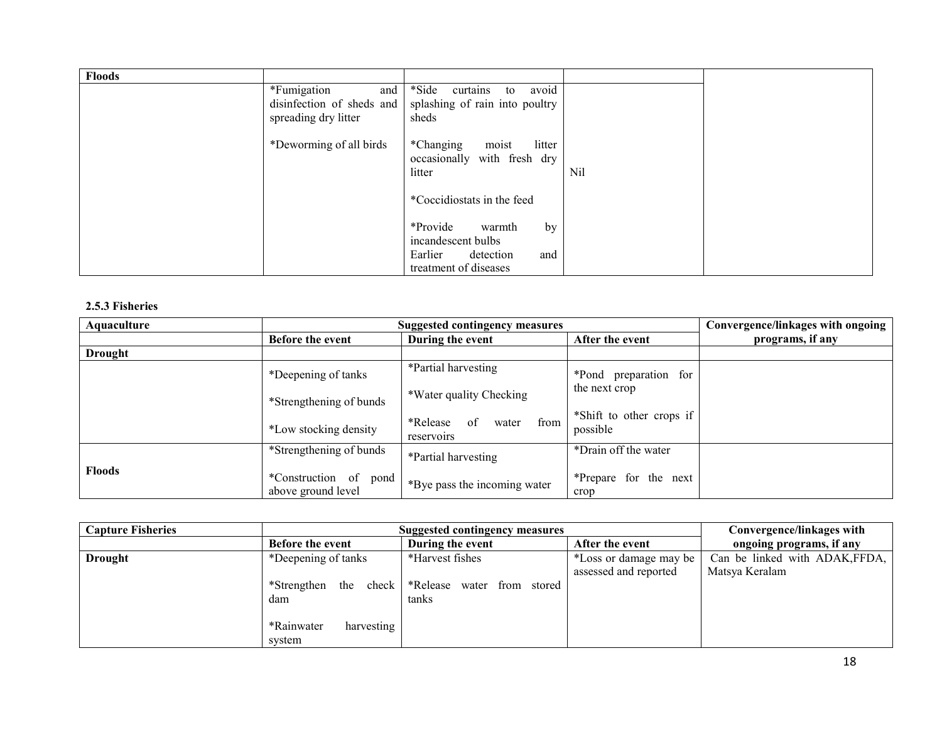| <b>Floods</b> |                                                                         |                                                                             |     |  |
|---------------|-------------------------------------------------------------------------|-----------------------------------------------------------------------------|-----|--|
|               | *Fumigation<br>and<br>disinfection of sheds and<br>spreading dry litter | avoid<br>*Side<br>curtains<br>to<br>splashing of rain into poultry<br>sheds |     |  |
|               | *Deworming of all birds                                                 | litter<br>*Changing<br>moist<br>occasionally with fresh dry<br>litter       | Nil |  |
|               |                                                                         | *Coccidiostats in the feed                                                  |     |  |
|               |                                                                         | *Provide<br>by<br>warmth<br>incandescent bulbs                              |     |  |
|               |                                                                         | Earlier<br>and<br>detection<br>treatment of diseases                        |     |  |

### 2.5.3 Fisheries

| Aquaculture    | <b>Suggested contingency measures</b>          | Convergence/linkages with ongoing             |                                      |                  |
|----------------|------------------------------------------------|-----------------------------------------------|--------------------------------------|------------------|
|                | Before the event                               | During the event                              | After the event                      | programs, if any |
| <b>Drought</b> |                                                |                                               |                                      |                  |
|                | *Deepening of tanks                            | $\overline{\text{P}}$ artial harvesting       | *Pond preparation for                |                  |
|                | *Strengthening of bunds                        | *Water quality Checking                       | the next crop                        |                  |
|                | *Low stocking density                          | of<br>from<br>*Release<br>water<br>reservoirs | *Shift to other crops if<br>possible |                  |
|                | *Strengthening of bunds                        | *Partial harvesting                           | *Drain off the water                 |                  |
| <b>Floods</b>  | *Construction of<br>pond<br>above ground level | *Bye pass the incoming water                  | *Prepare for the next<br>crop        |                  |

| <b>Capture Fisheries</b> | <b>Suggested contingency measures</b> | Convergence/linkages with                          |                        |                                |
|--------------------------|---------------------------------------|----------------------------------------------------|------------------------|--------------------------------|
|                          | <b>Before the event</b>               | During the event                                   | After the event        | ongoing programs, if any       |
| <b>Drought</b>           | *Deepening of tanks                   | *Harvest fishes                                    | *Loss or damage may be | Can be linked with ADAK, FFDA, |
|                          |                                       |                                                    | assessed and reported  | Matsya Keralam                 |
|                          |                                       | *Strengthen the check   *Release water from stored |                        |                                |
|                          | dam                                   | tanks                                              |                        |                                |
|                          |                                       |                                                    |                        |                                |
|                          | *Rainwater<br>harvesting              |                                                    |                        |                                |
|                          | system                                |                                                    |                        |                                |